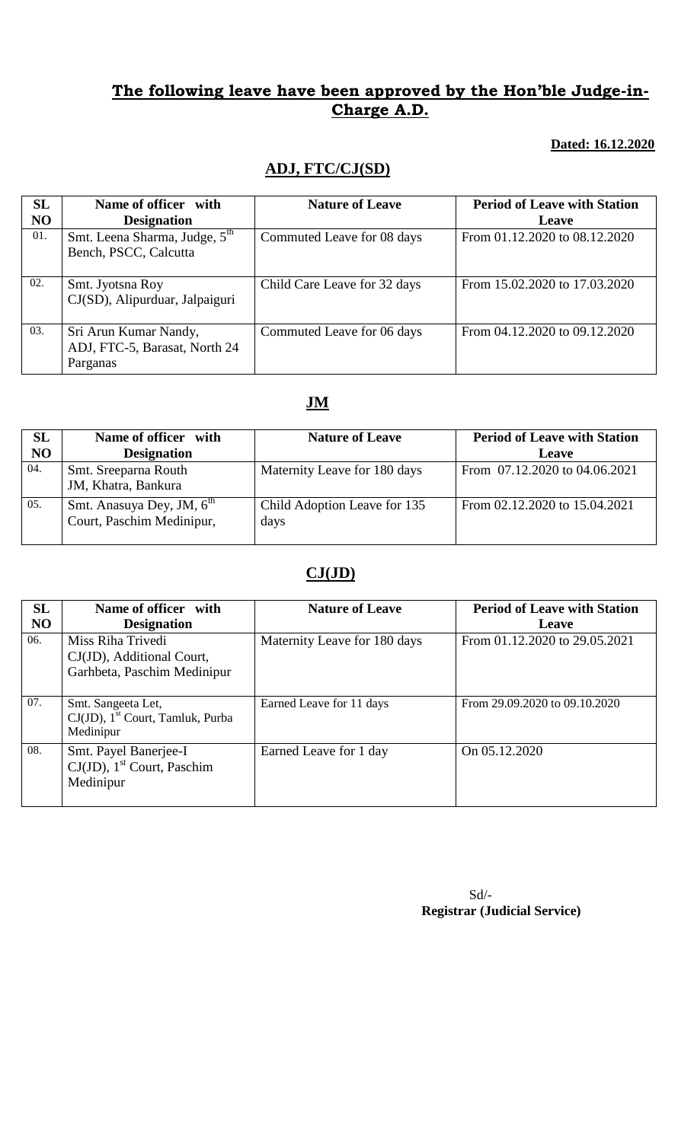**Dated: 16.12.2020**

## **ADJ, FTC/CJ(SD)**

| SL<br>N <sub>O</sub> | Name of officer with<br><b>Designation</b>                         | <b>Nature of Leave</b>       | <b>Period of Leave with Station</b><br>Leave |
|----------------------|--------------------------------------------------------------------|------------------------------|----------------------------------------------|
| 01.                  | Smt. Leena Sharma, Judge, 5 <sup>th</sup><br>Bench, PSCC, Calcutta | Commuted Leave for 08 days   | From 01.12.2020 to 08.12.2020                |
| 02.                  | Smt. Jyotsna Roy<br>CJ(SD), Alipurduar, Jalpaiguri                 | Child Care Leave for 32 days | From 15.02.2020 to 17.03.2020                |
| 03.                  | Sri Arun Kumar Nandy,<br>ADJ, FTC-5, Barasat, North 24<br>Parganas | Commuted Leave for 06 days   | From 04.12.2020 to 09.12.2020                |

# **JM**

| SL  | Name of officer with                                               | <b>Nature of Leave</b>               | <b>Period of Leave with Station</b> |
|-----|--------------------------------------------------------------------|--------------------------------------|-------------------------------------|
| NO  | <b>Designation</b>                                                 |                                      | Leave                               |
| 04. | Smt. Sreeparna Routh<br>JM, Khatra, Bankura                        | Maternity Leave for 180 days         | From 07.12.2020 to 04.06.2021       |
| 05. | Smt. Anasuya Dey, JM, 6 <sup>th</sup><br>Court, Paschim Medinipur, | Child Adoption Leave for 135<br>days | From 02.12.2020 to 15.04.2021       |

# **CJ(JD)**

| SL<br><b>NO</b> | Name of officer with<br><b>Designation</b>                                         | <b>Nature of Leave</b>       | <b>Period of Leave with Station</b><br>Leave |
|-----------------|------------------------------------------------------------------------------------|------------------------------|----------------------------------------------|
| 06.             | Miss Riha Trivedi<br>CJ(JD), Additional Court,<br>Garhbeta, Paschim Medinipur      | Maternity Leave for 180 days | From 01.12.2020 to 29.05.2021                |
| 07.             | Smt. Sangeeta Let,<br>$CJ(JD)$ , 1 <sup>st</sup> Court, Tamluk, Purba<br>Medinipur | Earned Leave for 11 days     | From 29.09.2020 to 09.10.2020                |
| 08.             | Smt. Payel Banerjee-I<br>$CJ(JD)$ , 1 <sup>st</sup> Court, Paschim<br>Medinipur    | Earned Leave for 1 day       | On 05.12.2020                                |

Sd/-  **Registrar (Judicial Service)**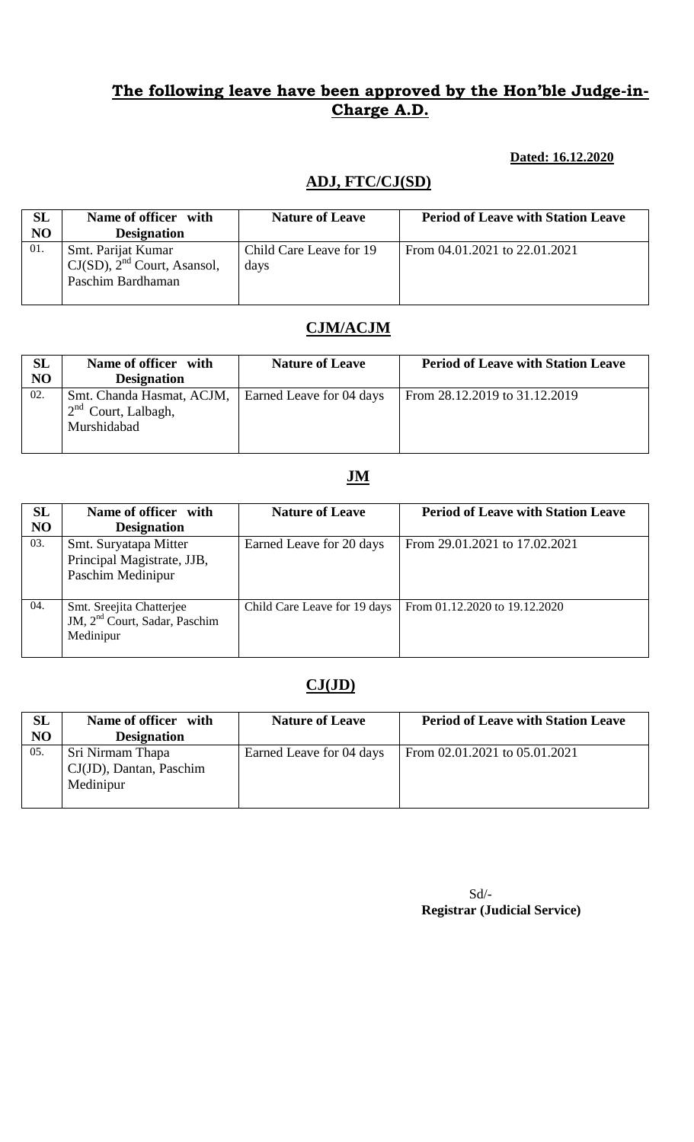### **Dated: 16.12.2020**

# **ADJ, FTC/CJ(SD)**

| <b>SL</b><br>NO | Name of officer with<br><b>Designation</b>                                  | <b>Nature of Leave</b>          | <b>Period of Leave with Station Leave</b> |
|-----------------|-----------------------------------------------------------------------------|---------------------------------|-------------------------------------------|
| 01.             | Smt. Parijat Kumar<br>$CJ(SD)$ , $2nd$ Court, Asansol,<br>Paschim Bardhaman | Child Care Leave for 19<br>days | From 04.01.2021 to 22.01.2021             |

# **CJM/ACJM**

| SL  | Name of officer with                                              | <b>Nature of Leave</b>   | <b>Period of Leave with Station Leave</b> |
|-----|-------------------------------------------------------------------|--------------------------|-------------------------------------------|
| NO  | <b>Designation</b>                                                |                          |                                           |
| 02. | Smt. Chanda Hasmat, ACJM,<br>$2nd$ Court, Lalbagh,<br>Murshidabad | Earned Leave for 04 days | From 28.12.2019 to 31.12.2019             |

### **JM**

| SL<br>N <sub>O</sub> | Name of officer with<br><b>Designation</b>                                         | <b>Nature of Leave</b>       | <b>Period of Leave with Station Leave</b> |
|----------------------|------------------------------------------------------------------------------------|------------------------------|-------------------------------------------|
| 03.                  | Smt. Suryatapa Mitter<br>Principal Magistrate, JJB,<br>Paschim Medinipur           | Earned Leave for 20 days     | From 29.01.2021 to 17.02.2021             |
| 04.                  | Smt. Sreejita Chatterjee<br>JM, 2 <sup>nd</sup> Court, Sadar, Paschim<br>Medinipur | Child Care Leave for 19 days | From 01.12.2020 to 19.12.2020             |

# **CJ(JD)**

| SL<br>NO | Name of officer with<br><b>Designation</b>               | <b>Nature of Leave</b>   | <b>Period of Leave with Station Leave</b> |
|----------|----------------------------------------------------------|--------------------------|-------------------------------------------|
| 05.      | Sri Nirmam Thapa<br>CJ(JD), Dantan, Paschim<br>Medinipur | Earned Leave for 04 days | From 02.01.2021 to 05.01.2021             |

Sd/-  **Registrar (Judicial Service)**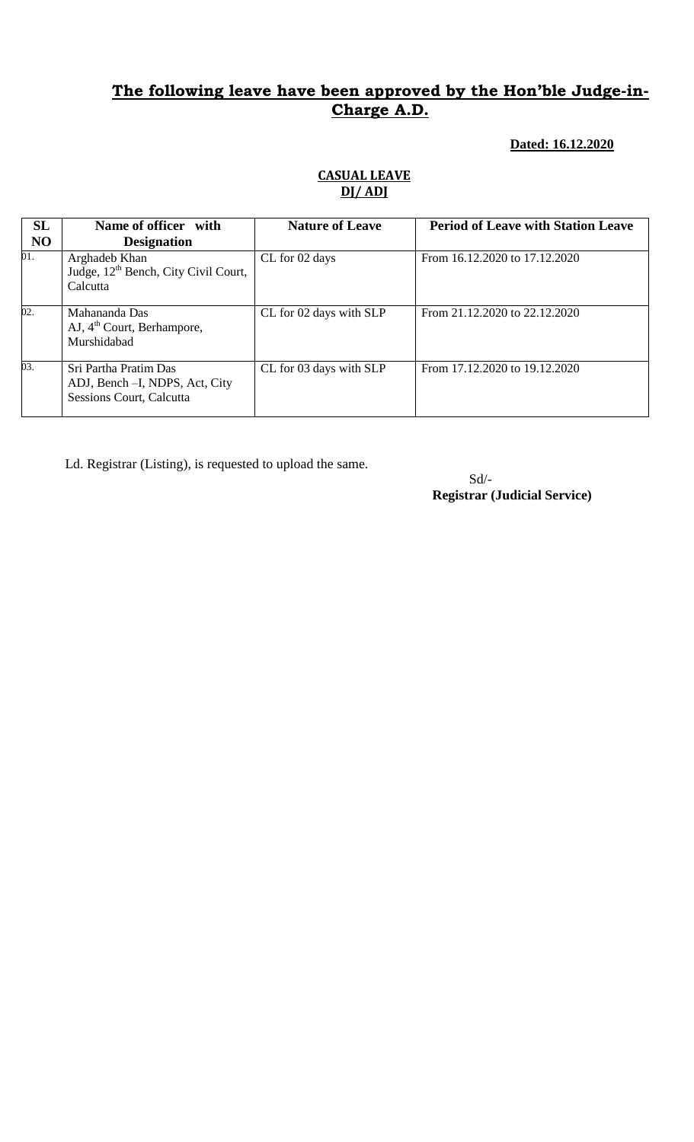#### **Dated: 16.12.2020**

#### **CASUAL LEAVE DJ/ ADJ**

| SL             | Name of officer with                                                                        | <b>Nature of Leave</b>  | <b>Period of Leave with Station Leave</b> |
|----------------|---------------------------------------------------------------------------------------------|-------------------------|-------------------------------------------|
| N <sub>O</sub> | <b>Designation</b>                                                                          |                         |                                           |
| 01.            | Arghadeb Khan<br>Judge, 12 <sup>th</sup> Bench, City Civil Court,<br>Calcutta               | CL for 02 days          | From 16.12.2020 to 17.12.2020             |
| 02.            | Mahananda Das<br>AJ, 4 <sup>th</sup> Court, Berhampore,<br>Murshidabad                      | CL for 02 days with SLP | From 21.12.2020 to 22.12.2020             |
| 03.            | Sri Partha Pratim Das<br>ADJ, Bench - I, NDPS, Act, City<br><b>Sessions Court, Calcutta</b> | CL for 03 days with SLP | From 17.12.2020 to 19.12.2020             |

Ld. Registrar (Listing), is requested to upload the same.

 Sd/- **Registrar (Judicial Service)**